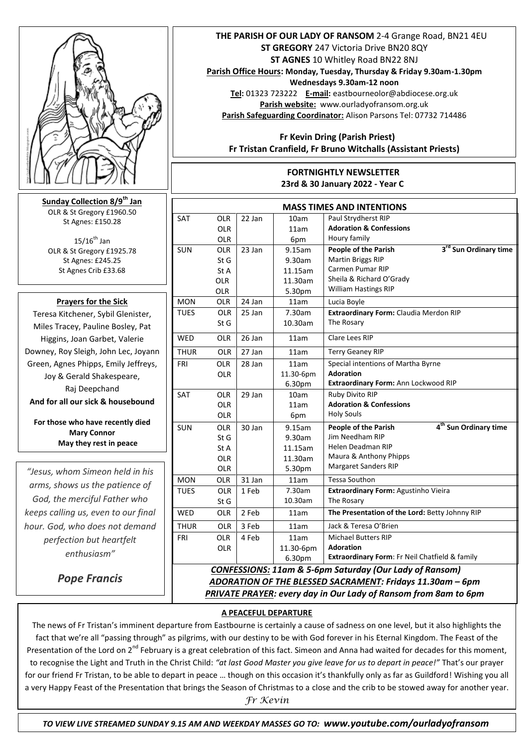

**Sunday Collection 8/9th Jan** OLR & St Gregory £1960.50 St Agnes: £150.28

 $15/16^{th}$  Jan OLR & St Gregory £1925.78 St Agnes: £245.25 St Agnes Crib £33.68

# **Prayers for the Sick**

Teresa Kitchener, Sybil Glenister, Miles Tracey, Pauline Bosley, Pat Higgins, Joan Garbet, Valerie Downey, Roy Sleigh, John Lec, Joyann Green, Agnes Phipps, Emily Jeffreys, Joy & Gerald Shakespeare, Raj Deepchand **And for all our sick & housebound**

**For those who have recently died Mary Connor May they rest in peace** 

*"Jesus, whom Simeon held in his arms, shows us the patience of God, the merciful Father who keeps calling us, even to our final hour. God, who does not demand perfection but heartfelt enthusiasm"*

*Pope Francis*

### **THE PARISH OF OUR LADY OF RANSOM** 2-4 Grange Road, BN21 4EU **ST GREGORY** 247 Victoria Drive BN20 8QY **ST AGNES** 10 Whitley Road BN22 8NJ

**Parish Office Hours: Monday, Tuesday, Thursday & Friday 9.30am-1.30pm Wednesdays 9.30am-12 noon Tel:** 01323 723222 **E-mail:** eastbourneolor@abdiocese.org.uk **Parish website:** [www.ourladyofransom.org.uk](http://www.ourladyofransom.org.uk/)

**Parish Safeguarding Coordinator:** Alison Parsons Tel: 07732 714486

 **Fr Kevin Dring (Parish Priest) Fr Tristan Cranfield, Fr Bruno Witchalls (Assistant Priests)**

#### **FORTNIGHTLY NEWSLETTER 23rd & 30 January 2022 - Year C**

| <b>MASS TIMES AND INTENTIONS</b>                                   |            |        |                  |                                                           |
|--------------------------------------------------------------------|------------|--------|------------------|-----------------------------------------------------------|
| <b>SAT</b>                                                         | <b>OLR</b> | 22 Jan | 10am             | Paul Strydherst RIP                                       |
|                                                                    | <b>OLR</b> |        | 11am             | <b>Adoration &amp; Confessions</b>                        |
|                                                                    | <b>OLR</b> |        | 6pm              | Houry family                                              |
| <b>SUN</b>                                                         | OLR        | 23 Jan | 9.15am           | 3rd Sun Ordinary time<br>People of the Parish             |
|                                                                    | St G       |        | 9.30am           | <b>Martin Briggs RIP</b>                                  |
|                                                                    | St A       |        | 11.15am          | Carmen Pumar RIP                                          |
|                                                                    | <b>OLR</b> |        | 11.30am          | Sheila & Richard O'Grady                                  |
|                                                                    | OLR        |        | 5.30pm           | <b>William Hastings RIP</b>                               |
| <b>MON</b>                                                         | OLR        | 24 Jan | 11am             | Lucia Boyle                                               |
| <b>TUES</b>                                                        | OLR        | 25 Jan | 7.30am           | Extraordinary Form: Claudia Merdon RIP                    |
|                                                                    | St G       |        | 10.30am          | The Rosary                                                |
| <b>WED</b>                                                         | <b>OLR</b> | 26 Jan | 11am             | Clare Lees RIP                                            |
| <b>THUR</b>                                                        | <b>OLR</b> | 27 Jan | 11am             | <b>Terry Geaney RIP</b>                                   |
| FRI                                                                | <b>OLR</b> | 28 Jan | 11am             | Special intentions of Martha Byrne                        |
|                                                                    | OLR        |        | 11.30-6pm        | <b>Adoration</b>                                          |
|                                                                    |            |        | 6.30pm           | Extraordinary Form: Ann Lockwood RIP                      |
| <b>SAT</b>                                                         | <b>OLR</b> | 29 Jan | 10 <sub>am</sub> | Ruby Divito RIP                                           |
|                                                                    | <b>OLR</b> |        | 11am             | <b>Adoration &amp; Confessions</b>                        |
|                                                                    | <b>OLR</b> |        | 6pm              | <b>Holy Souls</b>                                         |
| <b>SUN</b>                                                         | <b>OLR</b> | 30 Jan | 9.15am           | 4 <sup>th</sup> Sun Ordinary time<br>People of the Parish |
|                                                                    | St G       |        | 9.30am           | Jim Needham RIP                                           |
|                                                                    | St A       |        | 11.15am          | Helen Deadman RIP                                         |
|                                                                    | OLR        |        | 11.30am          | Maura & Anthony Phipps                                    |
|                                                                    | OLR        |        | 5.30pm           | <b>Margaret Sanders RIP</b>                               |
| <b>MON</b>                                                         | <b>OLR</b> | 31 Jan | 11am             | <b>Tessa Southon</b>                                      |
| <b>TUES</b>                                                        | <b>OLR</b> | 1 Feb  | 7.30am           | Extraordinary Form: Agustinho Vieira                      |
|                                                                    | St G       |        | 10.30am          | The Rosary                                                |
| WED                                                                | OLR        | 2 Feb  | 11am             | The Presentation of the Lord: Betty Johnny RIP            |
| <b>THUR</b>                                                        | OLR        | 3 Feb  | 11am             | Jack & Teresa O'Brien                                     |
| <b>FRI</b>                                                         | <b>OLR</b> | 4 Feb  | 11am             | <b>Michael Butters RIP</b>                                |
|                                                                    | <b>OLR</b> |        | 11.30-6pm        | <b>Adoration</b>                                          |
|                                                                    |            |        | 6.30pm           | Extraordinary Form: Fr Neil Chatfield & family            |
| <b>CONFESSIONS: 11am &amp; 5-6pm Saturday (Our Lady of Ransom)</b> |            |        |                  |                                                           |
| ADORATION OF THE BLESSED SACRAMENT: Fridays 11.30am - 6pm          |            |        |                  |                                                           |

*PRIVATE PRAYER: every day in Our Lady of Ransom from 8am to 6pm* 

#### **A PEACEFUL DEPARTURE**

The news of Fr Tristan's imminent departure from Eastbourne is certainly a cause of sadness on one level, but it also highlights the  fact that we're all "passing through" as pilgrims, with our destiny to be with God forever in his Eternal Kingdom. The Feast of the Presentation of the Lord on  $2^{nd}$  February is a great celebration of this fact. Simeon and Anna had waited for decades for this moment, to recognise the Light and Truth in the Christ Child: *"at last Good Master you give leave for us to depart in peace!"* That's our prayer for our friend Fr Tristan, to be able to depart in peace ... though on this occasion it's thankfully only as far as Guildford! Wishing you all a very Happy Feast of the Presentation that brings the Season of Christmas to a close and the crib to be stowed away for another year.

*Fr Kevin*